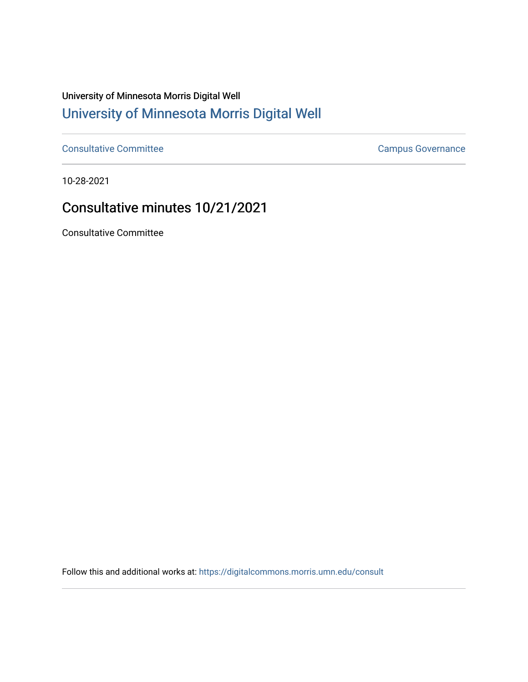## University of Minnesota Morris Digital Well [University of Minnesota Morris Digital Well](https://digitalcommons.morris.umn.edu/)

[Consultative Committee](https://digitalcommons.morris.umn.edu/consult) Committee Consultative Committee Consultative Committee Consultative Committee

10-28-2021

## Consultative minutes 10/21/2021

Consultative Committee

Follow this and additional works at: [https://digitalcommons.morris.umn.edu/consult](https://digitalcommons.morris.umn.edu/consult?utm_source=digitalcommons.morris.umn.edu%2Fconsult%2F195&utm_medium=PDF&utm_campaign=PDFCoverPages)